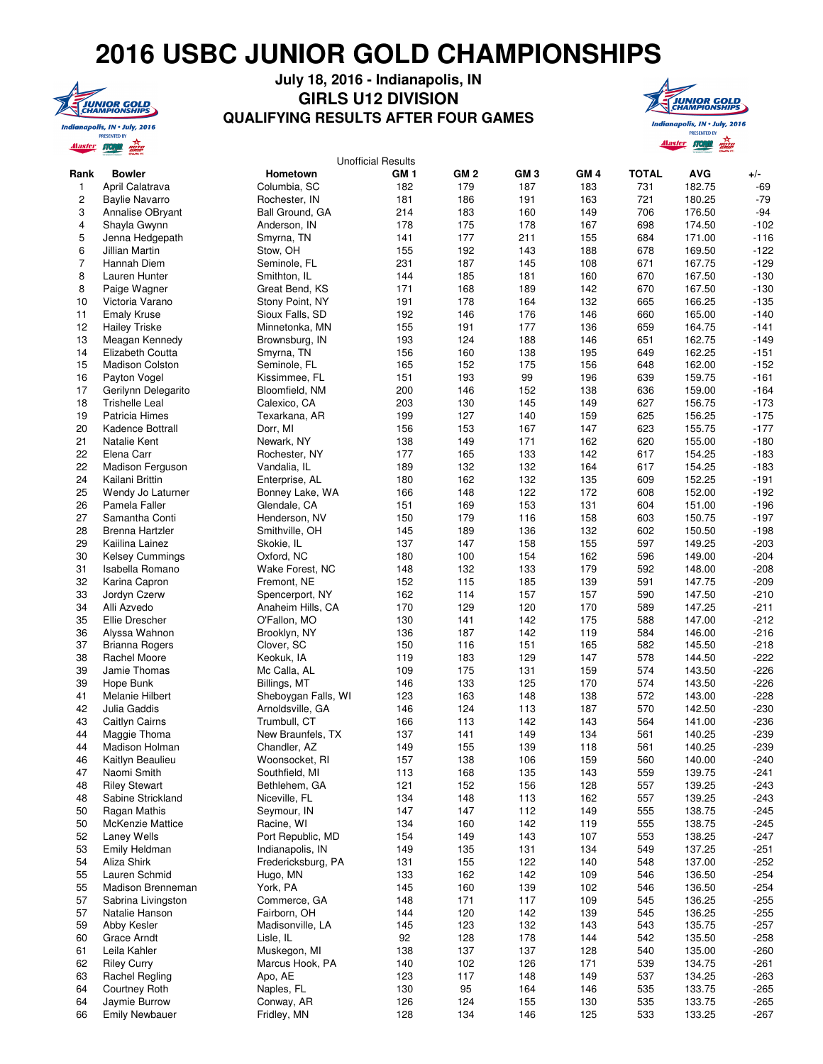## **2016 USBC JUNIOR GOLD CHAMPIONSHIPS**



## **July 18, 2016 - Indianapolis, IN GIRLS U12 DIVISION QUALIFYING RESULTS AFTER FOUR GAMES**



|                |                                    |                                  | <b>Unofficial Results</b> |            |                 |            |              |                  |                  |
|----------------|------------------------------------|----------------------------------|---------------------------|------------|-----------------|------------|--------------|------------------|------------------|
| Rank           | <b>Bowler</b>                      | Hometown                         | GM <sub>1</sub>           | GM 2       | GM <sub>3</sub> | GM 4       | <b>TOTAL</b> | <b>AVG</b>       | +/-              |
| 1              | April Calatrava                    | Columbia, SC                     | 182                       | 179        | 187             | 183        | 731          | 182.75           | $-69$            |
| 2              | <b>Baylie Navarro</b>              | Rochester, IN                    | 181                       | 186        | 191             | 163        | 721          | 180.25           | $-79$            |
| 3              | Annalise OBryant                   | Ball Ground, GA                  | 214                       | 183        | 160             | 149        | 706          | 176.50           | $-94$            |
| 4              | Shayla Gwynn                       | Anderson, IN                     | 178                       | 175        | 178             | 167        | 698          | 174.50           | $-102$           |
| 5              | Jenna Hedgepath                    | Smyrna, TN                       | 141                       | 177        | 211             | 155        | 684          | 171.00           | $-116$           |
| 6              | Jillian Martin                     | Stow, OH                         | 155                       | 192        | 143             | 188        | 678          | 169.50           | $-122$           |
| $\overline{7}$ | Hannah Diem                        | Seminole, FL                     | 231                       | 187        | 145             | 108        | 671          | 167.75           | $-129$           |
| 8              | Lauren Hunter                      | Smithton, IL                     | 144                       | 185        | 181             | 160        | 670          | 167.50           | $-130$           |
| 8              | Paige Wagner                       | Great Bend, KS                   | 171                       | 168        | 189             | 142        | 670          | 167.50           | $-130$           |
| 10             | Victoria Varano                    | Stony Point, NY                  | 191                       | 178        | 164             | 132        | 665          | 166.25           | $-135$           |
| 11             | <b>Emaly Kruse</b>                 | Sioux Falls, SD                  | 192                       | 146        | 176             | 146        | 660          | 165.00           | $-140$           |
| 12<br>13       | <b>Hailey Triske</b>               | Minnetonka, MN<br>Brownsburg, IN | 155<br>193                | 191<br>124 | 177<br>188      | 136<br>146 | 659<br>651   | 164.75<br>162.75 | $-141$<br>$-149$ |
| 14             | Meagan Kennedy<br>Elizabeth Coutta | Smyrna, TN                       | 156                       | 160        | 138             | 195        | 649          | 162.25           | $-151$           |
| 15             | <b>Madison Colston</b>             | Seminole, FL                     | 165                       | 152        | 175             | 156        | 648          | 162.00           | $-152$           |
| 16             | Payton Vogel                       | Kissimmee, FL                    | 151                       | 193        | 99              | 196        | 639          | 159.75           | $-161$           |
| 17             | Gerilynn Delegarito                | Bloomfield, NM                   | 200                       | 146        | 152             | 138        | 636          | 159.00           | $-164$           |
| 18             | <b>Trishelle Leal</b>              | Calexico, CA                     | 203                       | 130        | 145             | 149        | 627          | 156.75           | $-173$           |
| 19             | Patricia Himes                     | Texarkana, AR                    | 199                       | 127        | 140             | 159        | 625          | 156.25           | $-175$           |
| 20             | Kadence Bottrall                   | Dorr, MI                         | 156                       | 153        | 167             | 147        | 623          | 155.75           | $-177$           |
| 21             | Natalie Kent                       | Newark, NY                       | 138                       | 149        | 171             | 162        | 620          | 155.00           | $-180$           |
| 22             | Elena Carr                         | Rochester, NY                    | 177                       | 165        | 133             | 142        | 617          | 154.25           | $-183$           |
| 22             | Madison Ferguson                   | Vandalia, IL                     | 189                       | 132        | 132             | 164        | 617          | 154.25           | $-183$           |
| 24             | Kailani Brittin                    | Enterprise, AL                   | 180                       | 162        | 132             | 135        | 609          | 152.25           | $-191$           |
| 25             | Wendy Jo Laturner                  | Bonney Lake, WA                  | 166                       | 148        | 122             | 172        | 608          | 152.00           | $-192$           |
| 26             | Pamela Faller                      | Glendale, CA                     | 151                       | 169        | 153             | 131        | 604          | 151.00           | $-196$           |
| 27             | Samantha Conti                     | Henderson, NV                    | 150                       | 179        | 116             | 158        | 603          | 150.75           | $-197$           |
| 28             | Brenna Hartzler                    | Smithville, OH                   | 145                       | 189        | 136             | 132        | 602          | 150.50           | $-198$           |
| 29             | Kaiilina Lainez                    | Skokie, IL                       | 137                       | 147        | 158             | 155        | 597          | 149.25           | $-203$           |
| 30             | <b>Kelsey Cummings</b>             | Oxford, NC                       | 180                       | 100        | 154             | 162        | 596          | 149.00           | $-204$           |
| 31             | Isabella Romano                    | Wake Forest, NC                  | 148                       | 132        | 133             | 179        | 592          | 148.00           | $-208$           |
| 32             | Karina Capron                      | Fremont, NE                      | 152                       | 115        | 185             | 139        | 591          | 147.75           | $-209$           |
| 33             | Jordyn Czerw                       | Spencerport, NY                  | 162                       | 114        | 157             | 157        | 590          | 147.50           | $-210$           |
| 34             | Alli Azvedo                        | Anaheim Hills, CA                | 170                       | 129        | 120             | 170        | 589          | 147.25           | $-211$           |
| 35             | Ellie Drescher                     | O'Fallon, MO                     | 130                       | 141        | 142             | 175        | 588          | 147.00           | $-212$           |
| 36             | Alyssa Wahnon                      | Brooklyn, NY                     | 136                       | 187        | 142             | 119        | 584          | 146.00           | $-216$           |
| 37             | <b>Brianna Rogers</b>              | Clover, SC                       | 150                       | 116        | 151             | 165        | 582          | 145.50           | $-218$           |
| 38             | Rachel Moore                       | Keokuk, IA                       | 119                       | 183        | 129             | 147        | 578          | 144.50           | $-222$           |
| 39             | Jamie Thomas                       | Mc Calla, AL                     | 109                       | 175        | 131             | 159        | 574          | 143.50           | $-226$           |
| 39             | Hope Bunk                          | Billings, MT                     | 146                       | 133        | 125             | 170        | 574          | 143.50           | $-226$           |
| 41             | Melanie Hilbert                    | Sheboygan Falls, WI              | 123                       | 163        | 148             | 138        | 572          | 143.00           | $-228$           |
| 42             | Julia Gaddis                       | Arnoldsville, GA                 | 146                       | 124        | 113             | 187        | 570          | 142.50           | $-230$           |
| 43             | Caitlyn Cairns                     | Trumbull, CT                     | 166                       | 113        | 142             | 143        | 564          | 141.00           | $-236$           |
| 44             | Maggie Thoma                       | New Braunfels, TX                | 137                       | 141        | 149             | 134        | 561          | 140.25           | $-239$           |
| 44             | <b>Madison Holman</b>              | Chandler, AZ                     | 149                       | 155        | 139             | 118        | 561          | 140.25           | $-239$           |
| 46<br>47       | Kaitlyn Beaulieu<br>Naomi Smith    | Woonsocket, RI                   | 157                       | 138<br>168 | 106             | 159        | 560          | 140.00<br>139.75 | -240<br>$-241$   |
| 48             | <b>Riley Stewart</b>               | Southfield, MI<br>Bethlehem, GA  | 113<br>121                | 152        | 135<br>156      | 143<br>128 | 559<br>557   | 139.25           | -243             |
| 48             | Sabine Strickland                  | Niceville, FL                    | 134                       | 148        | 113             | 162        | 557          | 139.25           | $-243$           |
| 50             | Ragan Mathis                       | Seymour, IN                      | 147                       | 147        | 112             | 149        | 555          | 138.75           | $-245$           |
| 50             | <b>McKenzie Mattice</b>            | Racine, WI                       | 134                       | 160        | 142             | 119        | 555          | 138.75           | $-245$           |
| 52             | <b>Laney Wells</b>                 | Port Republic, MD                | 154                       | 149        | 143             | 107        | 553          | 138.25           | $-247$           |
| 53             | Emily Heldman                      | Indianapolis, IN                 | 149                       | 135        | 131             | 134        | 549          | 137.25           | -251             |
| 54             | Aliza Shirk                        | Fredericksburg, PA               | 131                       | 155        | 122             | 140        | 548          | 137.00           | $-252$           |
| 55             | Lauren Schmid                      | Hugo, MN                         | 133                       | 162        | 142             | 109        | 546          | 136.50           | $-254$           |
| 55             | Madison Brenneman                  | York, PA                         | 145                       | 160        | 139             | 102        | 546          | 136.50           | $-254$           |
| 57             | Sabrina Livingston                 | Commerce, GA                     | 148                       | 171        | 117             | 109        | 545          | 136.25           | $-255$           |
| 57             | Natalie Hanson                     | Fairborn, OH                     | 144                       | 120        | 142             | 139        | 545          | 136.25           | $-255$           |
| 59             | Abby Kesler                        | Madisonville, LA                 | 145                       | 123        | 132             | 143        | 543          | 135.75           | $-257$           |
| 60             | Grace Arndt                        | Lisle, IL                        | 92                        | 128        | 178             | 144        | 542          | 135.50           | $-258$           |
| 61             | Leila Kahler                       | Muskegon, MI                     | 138                       | 137        | 137             | 128        | 540          | 135.00           | $-260$           |
| 62             | <b>Riley Curry</b>                 | Marcus Hook, PA                  | 140                       | 102        | 126             | 171        | 539          | 134.75           | $-261$           |
| 63             | <b>Rachel Regling</b>              | Apo, AE                          | 123                       | 117        | 148             | 149        | 537          | 134.25           | $-263$           |
| 64             | Courtney Roth                      | Naples, FL                       | 130                       | 95         | 164             | 146        | 535          | 133.75           | $-265$           |
| 64             | Jaymie Burrow                      | Conway, AR                       | 126                       | 124        | 155             | 130        | 535          | 133.75           | $-265$           |
| 66             | <b>Emily Newbauer</b>              | Fridley, MN                      | 128                       | 134        | 146             | 125        | 533          | 133.25           | $-267$           |